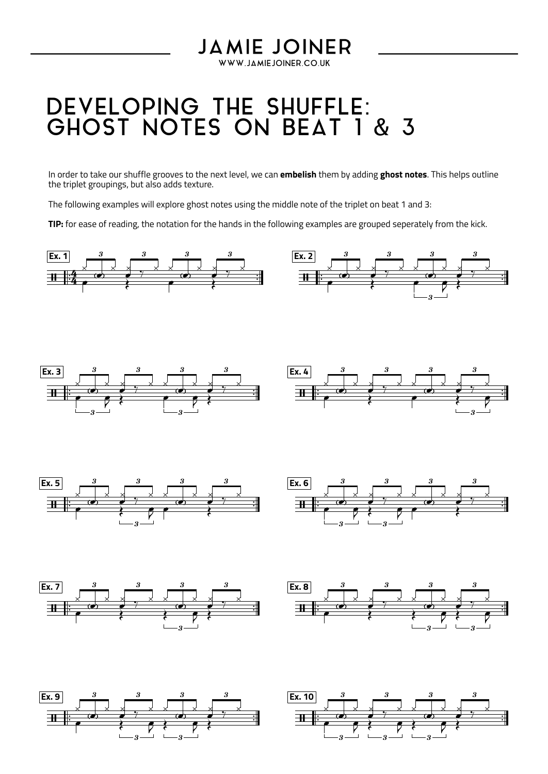## DEVELOPING THE SHUFFLE: GHOST NOTES ON BEAT 1 & 3

In order to take our shuffle grooves to the next level, we can **embelish** them by adding **ghost notes**. This helps outline the triplet groupings, but also adds texture.

**JAMIE JOINER** WWW.JAMIEJOINER.CO.UK

The following examples will explore ghost notes using the middle note of the triplet on beat 1 and 3:

TIP: for ease of reading, the notation for the hands in the following examples are grouped seperately from the kick.

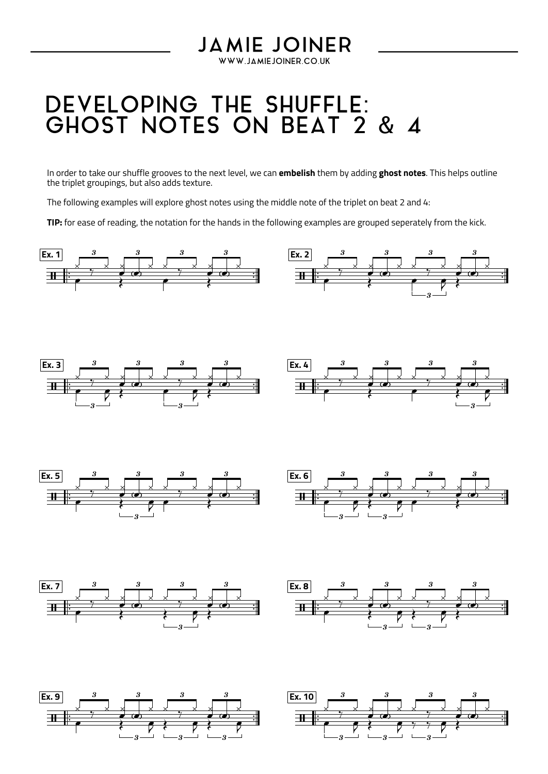## DEVELOPING THE SHUFFLE: GHOST NOTES ON BEAT 2 & 4

In order to take our shuffle grooves to the next level, we can **embelish** them by adding **ghost notes**. This helps outline the triplet groupings, but also adds texture.

**JAMIE JOINER** WWW.JAMIEJOINER.CO.UK

The following examples will explore ghost notes using the middle note of the triplet on beat 2 and 4:

**TIP:** for ease of reading, the notation for the hands in the following examples are grouped seperately from the kick.